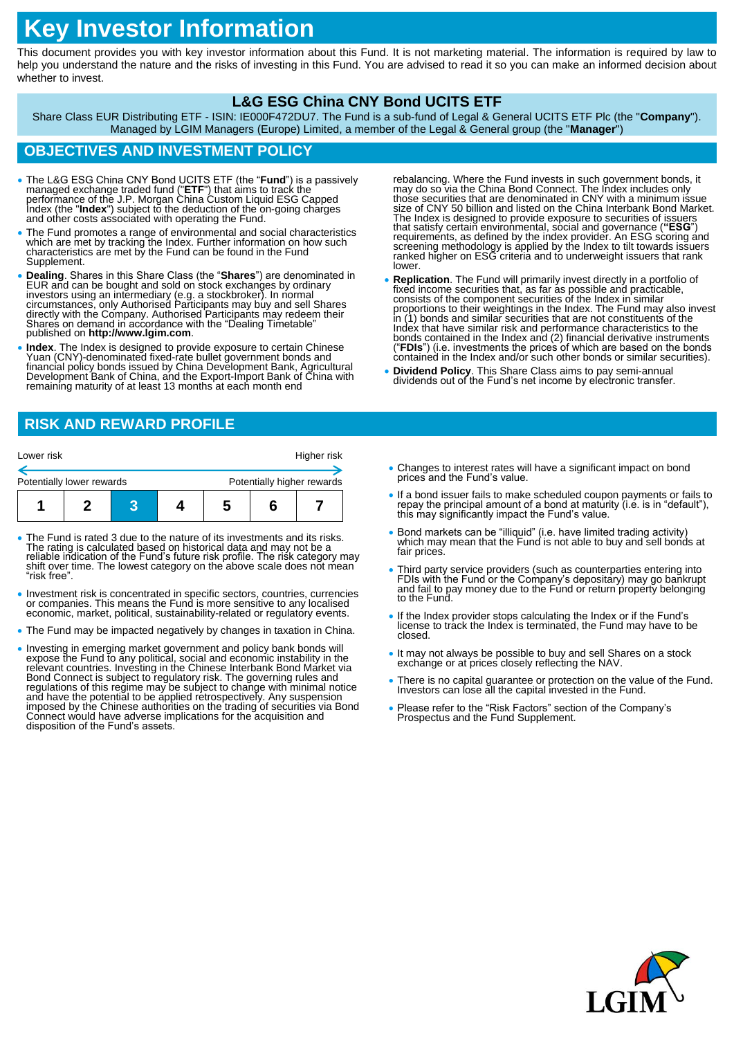# **Key Investor Information**

This document provides you with key investor information about this Fund. It is not marketing material. The information is required by law to help you understand the nature and the risks of investing in this Fund. You are advised to read it so you can make an informed decision about whether to invest.

### **L&G ESG China CNY Bond UCITS ETF**

Share Class EUR Distributing ETF - ISIN: IE000F472DU7. The Fund is a sub-fund of Legal & General UCITS ETF Plc (the "**Company**"). Managed by LGIM Managers (Europe) Limited, a member of the Legal & General group (the "**Manager**")

# **OBJECTIVES AND INVESTMENT POLICY**

- The L&G ESG China CNY Bond UCITS ETF (the "**Fund**") is a passively managed exchange traded fund ("ETF") that aims to track the performance of the J.P. Morgan China Custom Liquid ESG Capped Index (the "Index") subject to
- The Fund promotes a range of environmental and social characteristics which are met by tracking the Index. Further information on how such characteristics are met by the Fund can be found in the Fund Supplement.
- **Dealing**. Shares in this Share Class (the "**Shares**") are denominated in EUR and can be bought and sold on stock exchanges by ordinary investors using an intermediary (e.g. a stockbroker). In normal circumstances, only published on **http://www.lgim.com**.
- **Index**. The Index is designed to provide exposure to certain Chinese Yuan (CNY)-denominated fixed-rate bullet government bonds and financial policy bonds issued by China Devĕlopment Bank, Agricultural<br>Development Bank of China, and the Export-Import Bank of China with remaining maturity of at least 13 months at each month end

# **RISK AND REWARD PROFILE**

| Lower risk                |  |  |  |                            | Higher risk |  |
|---------------------------|--|--|--|----------------------------|-------------|--|
| Potentially lower rewards |  |  |  | Potentially higher rewards |             |  |
|                           |  |  |  | n                          |             |  |

- The Fund is rated 3 due to the nature of its investments and its risks. The rating is calculated based on historical data and may not be a reliable indication of the Fund's future risk profile. The risk category may shift over time. The lowest category on the above scale does not mean "risk free".
- Investment risk is concentrated in specific sectors, countries, currencies or companies. This means the Fund is more sensitive to any localised economic, market, political, sustainability-related or regulatory events.
- The Fund may be impacted negatively by changes in taxation in China.
- Investing in emerging market government and policy bank bonds will<br>expose the Fund to any political, social and economic instability in the<br>relevant countries. Investing in the Chinese Interbank Bond Market via<br>Bond Conn Connect would have adverse implications for the acquisition and disposition of the Fund's assets.
- rebalancing. Where the Fund invests in such government bonds, it<br>may do so via the China Bond Connect. The Index includes only<br>those securities that are denominated in CNY with a minimum issue<br>size of CNY 50 billion and li The Index is designed to provide exposure to securities of issuers<br>that satisfy certain environmental, social and governance ("ESG")<br>requirements, as defined by the index provider. An ESG scoring and<br>screening methodology lower.
- **Replication**. The Fund will primarily invest directly in a portfolio of fixed income securities that, as far as possible and practicable, consists of the component securities of the Index in similar proportions to their weightings in the Index. The Fund may also invest in (1) bonds and similar securities that are not constituents of the Index that have similar risk and performance characteristics to the bonds contained in the Index and (2) financial derivative instruments ("**FDIs**") (i.e. investments the prices of which are based on the bonds contained in the Index and/or such other bonds or similar securities).
- **Dividend Policy**. This Share Class aims to pay semi-annual dividends out of the Fund's net income by electronic transfer.
- Changes to interest rates will have a significant impact on bond prices and the Fund's value.
- If a bond issuer fails to make scheduled coupon payments or fails to repay the principal amount of a bond at maturity (i.e. is in "default"), this may significantly impact the Fund's value.
- Bond markets can be "illiquid" (i.e. have limited trading activity) which may mean that the Fund is not able to buy and sell bonds at fair prices.
- Third party service providers (such as counterparties entering into FDIs with the Fund or the Company's depositary) may go bankrupt and fail to pay money due to the Fund or return property belonging to the Fund.
- If the Index provider stops calculating the Index or if the Fund's license to track the Index is terminated, the Fund may have to be closed.
- It may not always be possible to buy and sell Shares on a stock exchange or at prices closely reflecting the NAV
- There is no capital guarantee or protection on the value of the Fund. Investors can lose all the capital invested in the Fund.
- Please refer to the "Risk Factors" section of the Company's Prospectus and the Fund Supplement.